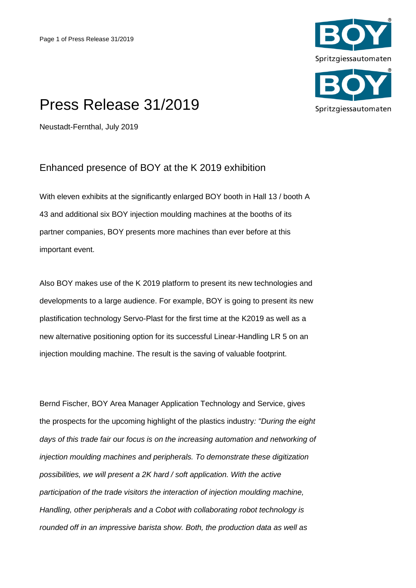

## Press Release 31/2019

Neustadt-Fernthal, July 2019

## Enhanced presence of BOY at the K 2019 exhibition

With eleven exhibits at the significantly enlarged BOY booth in Hall 13 / booth A 43 and additional six BOY injection moulding machines at the booths of its partner companies, BOY presents more machines than ever before at this important event.

Also BOY makes use of the K 2019 platform to present its new technologies and developments to a large audience. For example, BOY is going to present its new plastification technology Servo-Plast for the first time at the K2019 as well as a new alternative positioning option for its successful Linear-Handling LR 5 on an injection moulding machine. The result is the saving of valuable footprint.

Bernd Fischer, BOY Area Manager Application Technology and Service, gives the prospects for the upcoming highlight of the plastics industry*: "During the eight*  days of this trade fair our focus is on the increasing automation and networking of *injection moulding machines and peripherals. To demonstrate these digitization possibilities, we will present a 2K hard / soft application. With the active participation of the trade visitors the interaction of injection moulding machine, Handling, other peripherals and a Cobot with collaborating robot technology is rounded off in an impressive barista show. Both, the production data as well as*